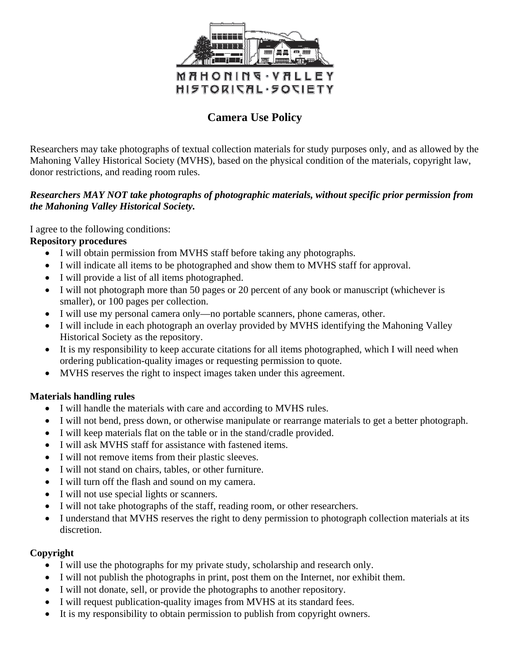

# **Camera Use Policy**

Researchers may take photographs of textual collection materials for study purposes only, and as allowed by the Mahoning Valley Historical Society (MVHS), based on the physical condition of the materials, copyright law, donor restrictions, and reading room rules.

## *Researchers MAY NOT take photographs of photographic materials, without specific prior permission from the Mahoning Valley Historical Society.*

I agree to the following conditions:

#### **Repository procedures**

- I will obtain permission from MVHS staff before taking any photographs.
- I will indicate all items to be photographed and show them to MVHS staff for approval.
- I will provide a list of all items photographed.
- I will not photograph more than 50 pages or 20 percent of any book or manuscript (whichever is smaller), or 100 pages per collection.
- I will use my personal camera only—no portable scanners, phone cameras, other.
- I will include in each photograph an overlay provided by MVHS identifying the Mahoning Valley Historical Society as the repository.
- It is my responsibility to keep accurate citations for all items photographed, which I will need when ordering publication-quality images or requesting permission to quote.
- MVHS reserves the right to inspect images taken under this agreement.

#### **Materials handling rules**

- I will handle the materials with care and according to MVHS rules.
- I will not bend, press down, or otherwise manipulate or rearrange materials to get a better photograph.
- I will keep materials flat on the table or in the stand/cradle provided.
- I will ask MVHS staff for assistance with fastened items.
- I will not remove items from their plastic sleeves.
- I will not stand on chairs, tables, or other furniture.
- I will turn off the flash and sound on my camera.
- I will not use special lights or scanners.
- I will not take photographs of the staff, reading room, or other researchers.
- I understand that MVHS reserves the right to deny permission to photograph collection materials at its discretion.

#### **Copyright**

- I will use the photographs for my private study, scholarship and research only.
- I will not publish the photographs in print, post them on the Internet, nor exhibit them.
- I will not donate, sell, or provide the photographs to another repository.
- I will request publication-quality images from MVHS at its standard fees.
- It is my responsibility to obtain permission to publish from copyright owners.